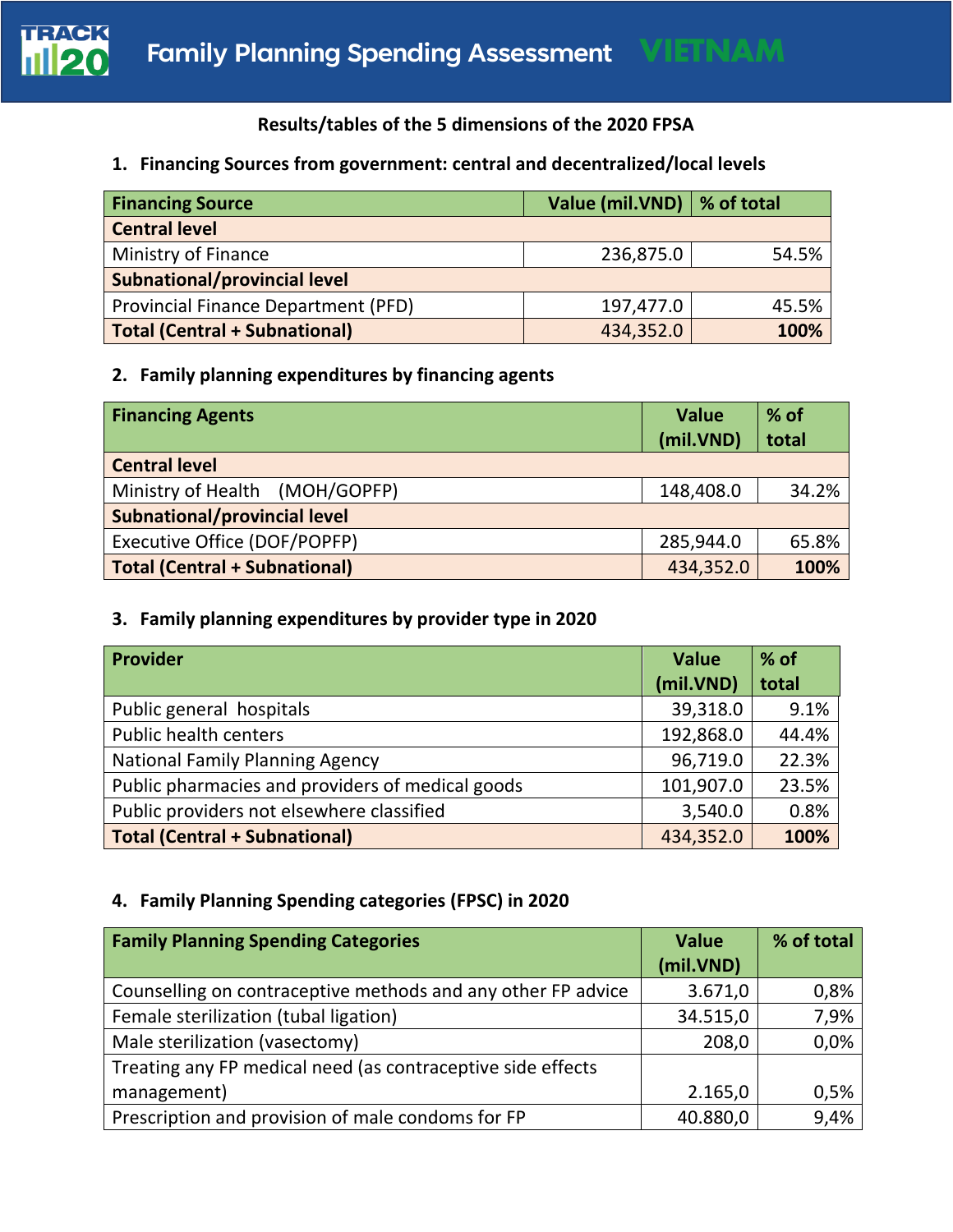

# **Results/tables of the 5 dimensions of the 2020 FPSA**

### **1. Financing Sources from government: central and decentralized/local levels**

| <b>Financing Source</b>                    | Value (mil.VND)   % of total |       |
|--------------------------------------------|------------------------------|-------|
| <b>Central level</b>                       |                              |       |
| Ministry of Finance                        | 236,875.0                    | 54.5% |
| <b>Subnational/provincial level</b>        |                              |       |
| <b>Provincial Finance Department (PFD)</b> | 197,477.0                    | 45.5% |
| Total (Central + Subnational)              | 434,352.0                    | 100%  |

## **2. Family planning expenditures by financing agents**

| <b>Financing Agents</b>              | <b>Value</b> | $%$ of |
|--------------------------------------|--------------|--------|
|                                      | (mil.VND)    | total  |
| <b>Central level</b>                 |              |        |
| Ministry of Health (MOH/GOPFP)       | 148,408.0    | 34.2%  |
| <b>Subnational/provincial level</b>  |              |        |
| Executive Office (DOF/POPFP)         | 285,944.0    | 65.8%  |
| <b>Total (Central + Subnational)</b> | 434,352.0    | 100%   |

## **3. Family planning expenditures by provider type in 2020**

| <b>Provider</b>                                  | <b>Value</b> | $%$ of |
|--------------------------------------------------|--------------|--------|
|                                                  | (mil.VND)    | total  |
| Public general hospitals                         | 39,318.0     | 9.1%   |
| <b>Public health centers</b>                     | 192,868.0    | 44.4%  |
| <b>National Family Planning Agency</b>           | 96,719.0     | 22.3%  |
| Public pharmacies and providers of medical goods | 101,907.0    | 23.5%  |
| Public providers not elsewhere classified        | 3,540.0      | 0.8%   |
| <b>Total (Central + Subnational)</b>             | 434,352.0    | 100%   |

## **4. Family Planning Spending categories (FPSC) in 2020**

| <b>Family Planning Spending Categories</b>                   | <b>Value</b> | % of total |
|--------------------------------------------------------------|--------------|------------|
|                                                              | (mil.VND)    |            |
| Counselling on contraceptive methods and any other FP advice | 3.671,0      | 0,8%       |
| Female sterilization (tubal ligation)                        | 34.515,0     | 7,9%       |
| Male sterilization (vasectomy)                               | 208,0        | 0,0%       |
| Treating any FP medical need (as contraceptive side effects  |              |            |
| management)                                                  | 2.165,0      | 0,5%       |
| Prescription and provision of male condoms for FP            | 40.880,0     | 9,4%       |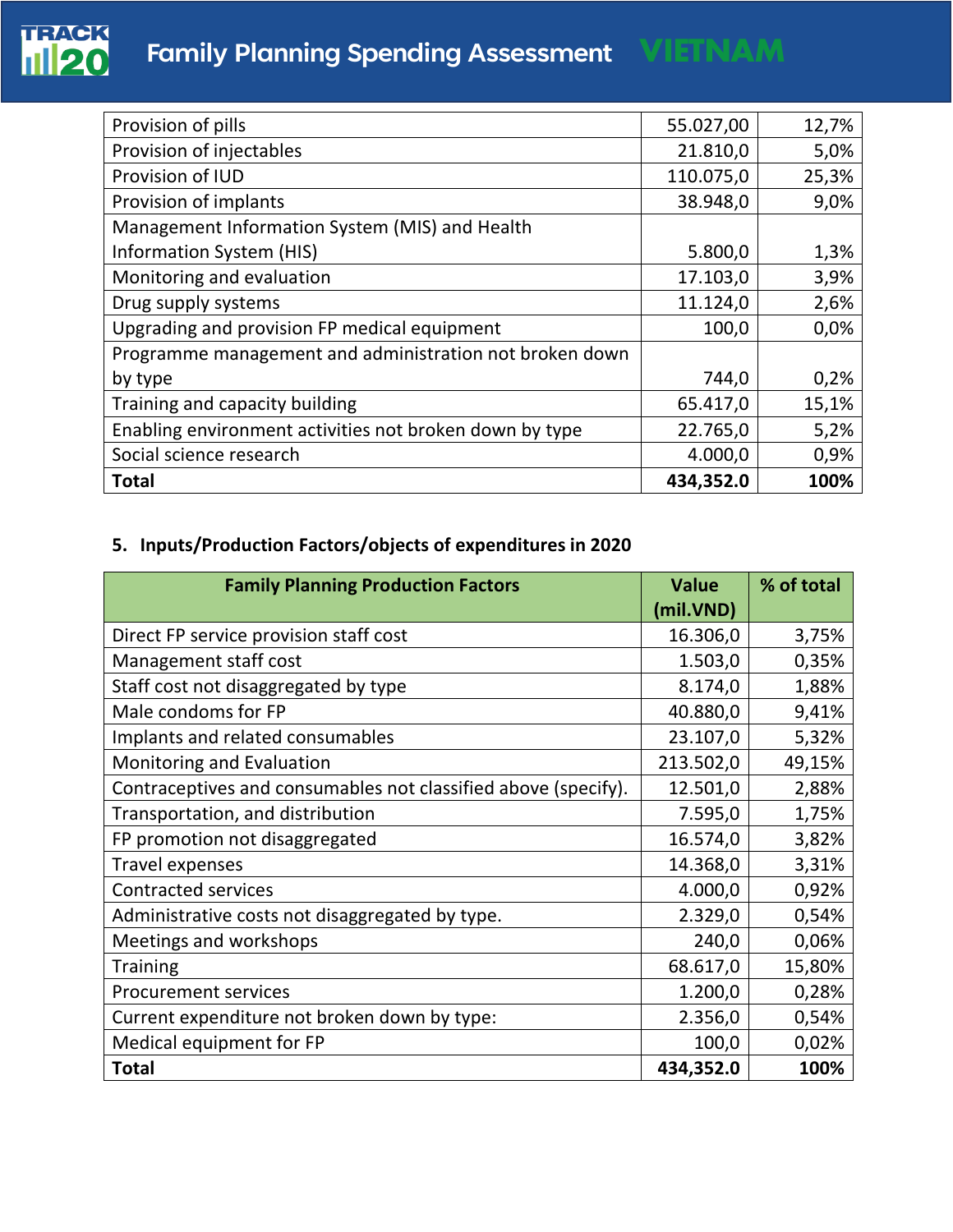

| Provision of pills                                      | 55.027,00 | 12,7% |
|---------------------------------------------------------|-----------|-------|
| Provision of injectables                                | 21.810,0  | 5,0%  |
| Provision of IUD                                        | 110.075,0 | 25,3% |
| Provision of implants                                   | 38.948,0  | 9,0%  |
| Management Information System (MIS) and Health          |           |       |
| <b>Information System (HIS)</b>                         | 5.800,0   | 1,3%  |
| Monitoring and evaluation                               | 17.103,0  | 3,9%  |
| Drug supply systems                                     | 11.124,0  | 2,6%  |
| Upgrading and provision FP medical equipment            | 100,0     | 0,0%  |
| Programme management and administration not broken down |           |       |
| by type                                                 | 744,0     | 0,2%  |
| Training and capacity building                          | 65.417,0  | 15,1% |
| Enabling environment activities not broken down by type | 22.765,0  | 5,2%  |
| Social science research                                 | 4.000,0   | 0,9%  |
| Total                                                   | 434,352.0 | 100%  |

# **5. Inputs/Production Factors/objects of expenditures in 2020**

| <b>Family Planning Production Factors</b>                      | <b>Value</b><br>(mil.VND) | % of total |
|----------------------------------------------------------------|---------------------------|------------|
| Direct FP service provision staff cost                         | 16.306,0                  | 3,75%      |
| Management staff cost                                          | 1.503,0                   | 0,35%      |
| Staff cost not disaggregated by type                           | 8.174,0                   | 1,88%      |
| Male condoms for FP                                            | 40.880,0                  | 9,41%      |
| Implants and related consumables                               | 23.107,0                  | 5,32%      |
| Monitoring and Evaluation                                      | 213.502,0                 | 49,15%     |
| Contraceptives and consumables not classified above (specify). | 12.501,0                  | 2,88%      |
| Transportation, and distribution                               | 7.595,0                   | 1,75%      |
| FP promotion not disaggregated                                 | 16.574,0                  | 3,82%      |
| <b>Travel expenses</b>                                         | 14.368,0                  | 3,31%      |
| <b>Contracted services</b>                                     | 4.000,0                   | 0,92%      |
| Administrative costs not disaggregated by type.                | 2.329,0                   | 0,54%      |
| Meetings and workshops                                         | 240,0                     | 0,06%      |
| <b>Training</b>                                                | 68.617,0                  | 15,80%     |
| <b>Procurement services</b>                                    | 1.200,0                   | 0,28%      |
| Current expenditure not broken down by type:                   | 2.356,0                   | 0,54%      |
| Medical equipment for FP                                       | 100,0                     | 0,02%      |
| <b>Total</b>                                                   | 434,352.0                 | 100%       |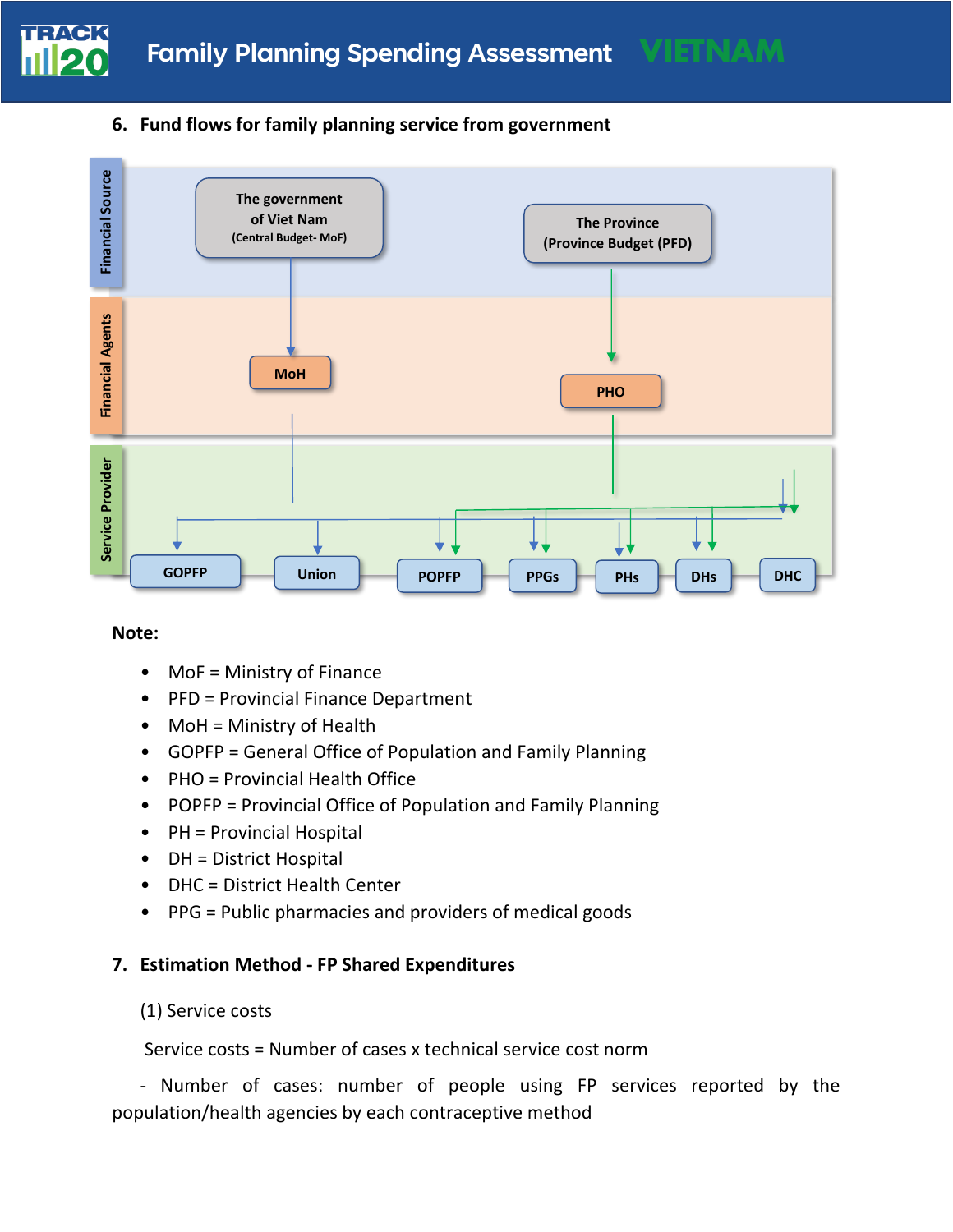

### **6. Fund flows for family planning service from government**



### **Note:**

- MoF = Ministry of Finance
- PFD = Provincial Finance Department
- MoH = Ministry of Health
- GOPFP = General Office of Population and Family Planning
- PHO = Provincial Health Office
- POPFP = Provincial Office of Population and Family Planning
- PH = Provincial Hospital
- DH = District Hospital
- DHC = District Health Center
- PPG = Public pharmacies and providers of medical goods

### **7. Estimation Method - FP Shared Expenditures**

### (1) Service costs

Service costs = Number of cases x technical service cost norm

- Number of cases: number of people using FP services reported by the population/health agencies by each contraceptive method